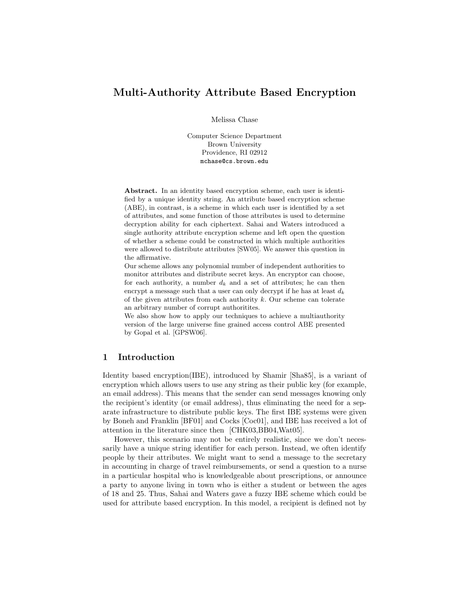# Multi-Authority Attribute Based Encryption

Melissa Chase

Computer Science Department Brown University Providence, RI 02912 mchase@cs.brown.edu

Abstract. In an identity based encryption scheme, each user is identified by a unique identity string. An attribute based encryption scheme (ABE), in contrast, is a scheme in which each user is identified by a set of attributes, and some function of those attributes is used to determine decryption ability for each ciphertext. Sahai and Waters introduced a single authority attribute encryption scheme and left open the question of whether a scheme could be constructed in which multiple authorities were allowed to distribute attributes [SW05]. We answer this question in the affirmative.

Our scheme allows any polynomial number of independent authorities to monitor attributes and distribute secret keys. An encryptor can choose, for each authority, a number  $d_k$  and a set of attributes; he can then encrypt a message such that a user can only decrypt if he has at least  $d_k$ of the given attributes from each authority  $k$ . Our scheme can tolerate an arbitrary number of corrupt authoritites.

We also show how to apply our techniques to achieve a multiauthority version of the large universe fine grained access control ABE presented by Gopal et al. [GPSW06].

# 1 Introduction

Identity based encryption(IBE), introduced by Shamir [Sha85], is a variant of encryption which allows users to use any string as their public key (for example, an email address). This means that the sender can send messages knowing only the recipient's identity (or email address), thus eliminating the need for a separate infrastructure to distribute public keys. The first IBE systems were given by Boneh and Franklin [BF01] and Cocks [Coc01], and IBE has received a lot of attention in the literature since then [CHK03,BB04,Wat05].

However, this scenario may not be entirely realistic, since we don't necessarily have a unique string identifier for each person. Instead, we often identify people by their attributes. We might want to send a message to the secretary in accounting in charge of travel reimbursements, or send a question to a nurse in a particular hospital who is knowledgeable about prescriptions, or announce a party to anyone living in town who is either a student or between the ages of 18 and 25. Thus, Sahai and Waters gave a fuzzy IBE scheme which could be used for attribute based encryption. In this model, a recipient is defined not by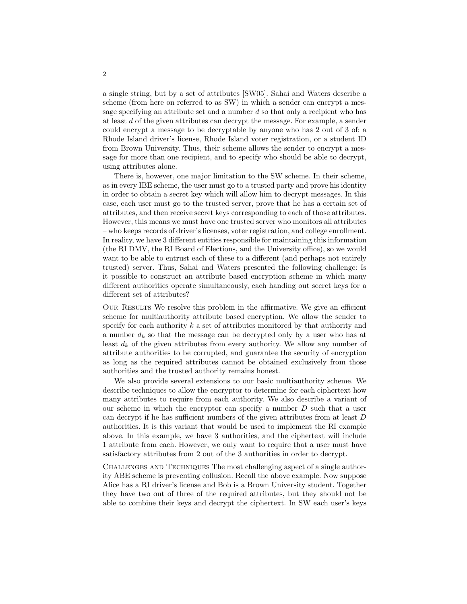a single string, but by a set of attributes [SW05]. Sahai and Waters describe a scheme (from here on referred to as SW) in which a sender can encrypt a message specifying an attribute set and a number  $d$  so that only a recipient who has at least d of the given attributes can decrypt the message. For example, a sender could encrypt a message to be decryptable by anyone who has 2 out of 3 of: a Rhode Island driver's license, Rhode Island voter registration, or a student ID from Brown University. Thus, their scheme allows the sender to encrypt a message for more than one recipient, and to specify who should be able to decrypt, using attributes alone.

There is, however, one major limitation to the SW scheme. In their scheme, as in every IBE scheme, the user must go to a trusted party and prove his identity in order to obtain a secret key which will allow him to decrypt messages. In this case, each user must go to the trusted server, prove that he has a certain set of attributes, and then receive secret keys corresponding to each of those attributes. However, this means we must have one trusted server who monitors all attributes – who keeps records of driver's licenses, voter registration, and college enrollment. In reality, we have 3 different entities responsible for maintaining this information (the RI DMV, the RI Board of Elections, and the University office), so we would want to be able to entrust each of these to a different (and perhaps not entirely trusted) server. Thus, Sahai and Waters presented the following challenge: Is it possible to construct an attribute based encryption scheme in which many different authorities operate simultaneously, each handing out secret keys for a different set of attributes?

Our Results We resolve this problem in the affirmative. We give an efficient scheme for multiauthority attribute based encryption. We allow the sender to specify for each authority  $k$  a set of attributes monitored by that authority and a number  $d_k$  so that the message can be decrypted only by a user who has at least  $d_k$  of the given attributes from every authority. We allow any number of attribute authorities to be corrupted, and guarantee the security of encryption as long as the required attributes cannot be obtained exclusively from those authorities and the trusted authority remains honest.

We also provide several extensions to our basic multiauthority scheme. We describe techniques to allow the encryptor to determine for each ciphertext how many attributes to require from each authority. We also describe a variant of our scheme in which the encryptor can specify a number  $D$  such that a user can decrypt if he has sufficient numbers of the given attributes from at least D authorities. It is this variant that would be used to implement the RI example above. In this example, we have 3 authorities, and the ciphertext will include 1 attribute from each. However, we only want to require that a user must have satisfactory attributes from 2 out of the 3 authorities in order to decrypt.

CHALLENGES AND TECHNIQUES The most challenging aspect of a single authority ABE scheme is preventing collusion. Recall the above example. Now suppose Alice has a RI driver's license and Bob is a Brown University student. Together they have two out of three of the required attributes, but they should not be able to combine their keys and decrypt the ciphertext. In SW each user's keys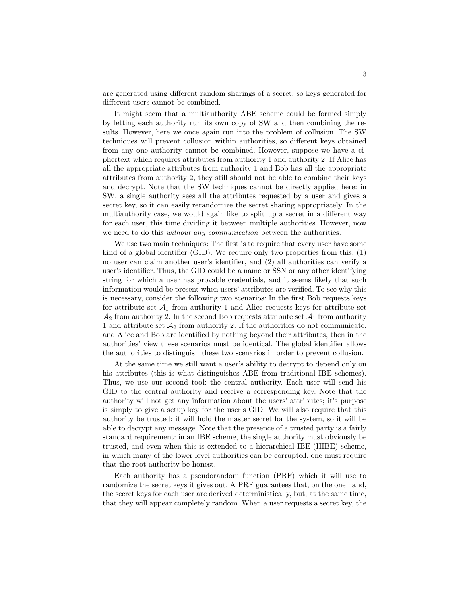are generated using different random sharings of a secret, so keys generated for different users cannot be combined.

It might seem that a multiauthority ABE scheme could be formed simply by letting each authority run its own copy of SW and then combining the results. However, here we once again run into the problem of collusion. The SW techniques will prevent collusion within authorities, so different keys obtained from any one authority cannot be combined. However, suppose we have a ciphertext which requires attributes from authority 1 and authority 2. If Alice has all the appropriate attributes from authority 1 and Bob has all the appropriate attributes from authority 2, they still should not be able to combine their keys and decrypt. Note that the SW techniques cannot be directly applied here: in SW, a single authority sees all the attributes requested by a user and gives a secret key, so it can easily rerandomize the secret sharing appropriately. In the multiauthority case, we would again like to split up a secret in a different way for each user, this time dividing it between multiple authorities. However, now we need to do this *without any communication* between the authorities.

We use two main techniques: The first is to require that every user have some kind of a global identifier (GID). We require only two properties from this:  $(1)$ no user can claim another user's identifier, and (2) all authorities can verify a user's identifier. Thus, the GID could be a name or SSN or any other identifying string for which a user has provable credentials, and it seems likely that such information would be present when users' attributes are verified. To see why this is necessary, consider the following two scenarios: In the first Bob requests keys for attribute set  $\mathcal{A}_1$  from authority 1 and Alice requests keys for attribute set  $\mathcal{A}_2$  from authority 2. In the second Bob requests attribute set  $\mathcal{A}_1$  from authority 1 and attribute set  $\mathcal{A}_2$  from authority 2. If the authorities do not communicate, and Alice and Bob are identified by nothing beyond their attributes, then in the authorities' view these scenarios must be identical. The global identifier allows the authorities to distinguish these two scenarios in order to prevent collusion.

At the same time we still want a user's ability to decrypt to depend only on his attributes (this is what distinguishes ABE from traditional IBE schemes). Thus, we use our second tool: the central authority. Each user will send his GID to the central authority and receive a corresponding key. Note that the authority will not get any information about the users' attributes; it's purpose is simply to give a setup key for the user's GID. We will also require that this authority be trusted: it will hold the master secret for the system, so it will be able to decrypt any message. Note that the presence of a trusted party is a fairly standard requirement: in an IBE scheme, the single authority must obviously be trusted, and even when this is extended to a hierarchical IBE (HIBE) scheme, in which many of the lower level authorities can be corrupted, one must require that the root authority be honest.

Each authority has a pseudorandom function (PRF) which it will use to randomize the secret keys it gives out. A PRF guarantees that, on the one hand, the secret keys for each user are derived deterministically, but, at the same time, that they will appear completely random. When a user requests a secret key, the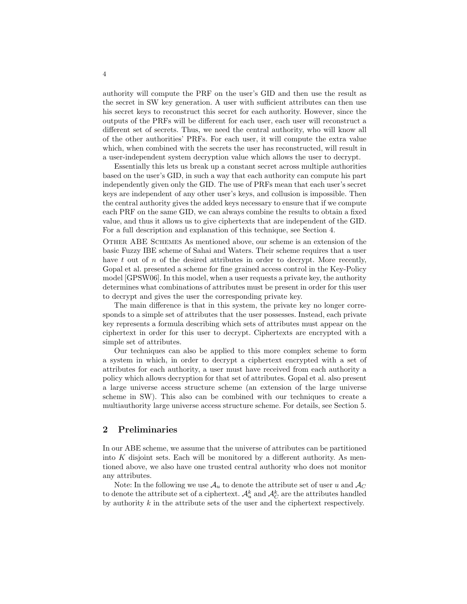authority will compute the PRF on the user's GID and then use the result as the secret in SW key generation. A user with sufficient attributes can then use his secret keys to reconstruct this secret for each authority. However, since the outputs of the PRFs will be different for each user, each user will reconstruct a different set of secrets. Thus, we need the central authority, who will know all of the other authorities' PRFs. For each user, it will compute the extra value which, when combined with the secrets the user has reconstructed, will result in a user-independent system decryption value which allows the user to decrypt.

Essentially this lets us break up a constant secret across multiple authorities based on the user's GID, in such a way that each authority can compute his part independently given only the GID. The use of PRFs mean that each user's secret keys are independent of any other user's keys, and collusion is impossible. Then the central authority gives the added keys necessary to ensure that if we compute each PRF on the same GID, we can always combine the results to obtain a fixed value, and thus it allows us to give ciphertexts that are independent of the GID. For a full description and explanation of this technique, see Section 4.

Other ABE Schemes As mentioned above, our scheme is an extension of the basic Fuzzy IBE scheme of Sahai and Waters. Their scheme requires that a user have t out of n of the desired attributes in order to decrypt. More recently, Gopal et al. presented a scheme for fine grained access control in the Key-Policy model [GPSW06]. In this model, when a user requests a private key, the authority determines what combinations of attributes must be present in order for this user to decrypt and gives the user the corresponding private key.

The main difference is that in this system, the private key no longer corresponds to a simple set of attributes that the user possesses. Instead, each private key represents a formula describing which sets of attributes must appear on the ciphertext in order for this user to decrypt. Ciphertexts are encrypted with a simple set of attributes.

Our techniques can also be applied to this more complex scheme to form a system in which, in order to decrypt a ciphertext encrypted with a set of attributes for each authority, a user must have received from each authority a policy which allows decryption for that set of attributes. Gopal et al. also present a large universe access structure scheme (an extension of the large universe scheme in SW). This also can be combined with our techniques to create a multiauthority large universe access structure scheme. For details, see Section 5.

## 2 Preliminaries

In our ABE scheme, we assume that the universe of attributes can be partitioned into  $K$  disjoint sets. Each will be monitored by a different authority. As mentioned above, we also have one trusted central authority who does not monitor any attributes.

Note: In the following we use  $\mathcal{A}_u$  to denote the attribute set of user u and  $\mathcal{A}_C$ to denote the attribute set of a ciphertext.  $\mathcal{A}_u^k$  and  $\mathcal{A}_C^k$  are the attributes handled by authority  $k$  in the attribute sets of the user and the ciphertext respectively.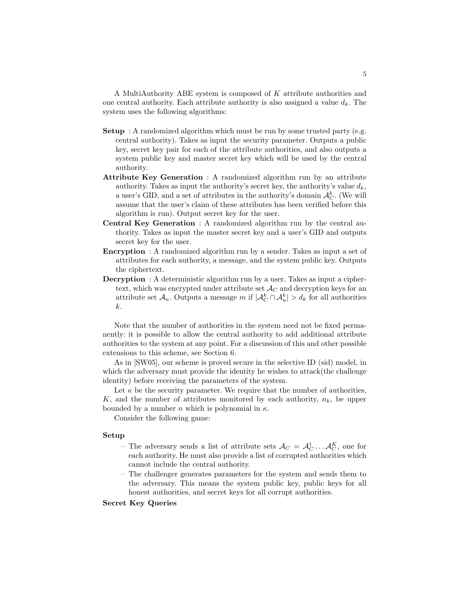A MultiAuthority ABE system is composed of K attribute authorities and one central authority. Each attribute authority is also assigned a value  $d_k$ . The system uses the following algorithms:

- Setup: A randomized algorithm which must be run by some trusted party (e.g. central authority). Takes as input the security parameter. Outputs a public key, secret key pair for each of the attribute authorities, and also outputs a system public key and master secret key which will be used by the central authority.
- Attribute Key Generation : A randomized algorithm run by an attribute authority. Takes as input the authority's secret key, the authority's value  $d_k$ , a user's GID, and a set of attributes in the authority's domain  $\mathcal{A}_{C}^{k}$ . (We will assume that the user's claim of these attributes has been verified before this algorithm is run). Output secret key for the user.
- Central Key Generation : A randomized algorithm run by the central authority. Takes as input the master secret key and a user's GID and outputs secret key for the user.
- Encryption : A randomized algorithm run by a sender. Takes as input a set of attributes for each authority, a message, and the system public key. Outputs the ciphertext.
- Decryption : A deterministic algorithm run by a user. Takes as input a ciphertext, which was encrypted under attribute set  $\mathcal{A}_C$  and decryption keys for an attribute set  $\mathcal{A}_u$ . Outputs a message m if  $|\mathcal{A}_{C}^k \cap \mathcal{A}_{u}^k| > d_k$  for all authorities k.

Note that the number of authorities in the system need not be fixed permanently: it is possible to allow the central authority to add additional attribute authorities to the system at any point. For a discussion of this and other possible extensions to this scheme, see Section 6.

As in [SW05], our scheme is proved secure in the selective ID (sid) model, in which the adversary must provide the identity he wishes to attack(the challenge identity) before receiving the parameters of the system.

Let  $\kappa$  be the security parameter. We require that the number of authorities, K, and the number of attributes monitored by each authority,  $n_k$ , be upper bounded by a number n which is polynomial in  $\kappa$ .

Consider the following game:

## Setup

- The adversary sends a list of attribute sets  $\mathcal{A}_C = \mathcal{A}_C^1 \dots \mathcal{A}_C^K$ , one for each authority. He must also provide a list of corrupted authorities which cannot include the central authority.
- The challenger generates parameters for the system and sends them to the adversary. This means the system public key, public keys for all honest authorities, and secret keys for all corrupt authorities.

### Secret Key Queries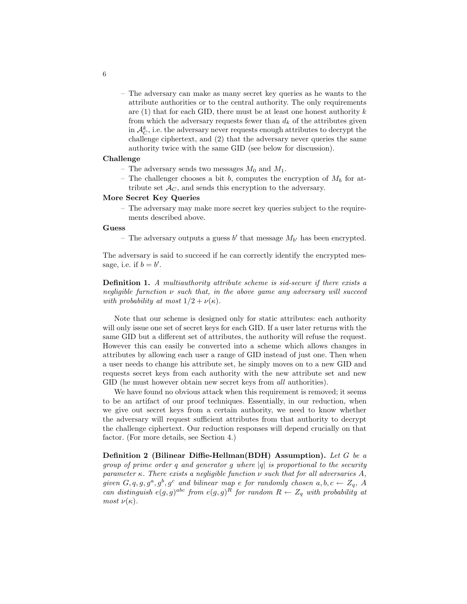– The adversary can make as many secret key queries as he wants to the attribute authorities or to the central authority. The only requirements are  $(1)$  that for each GID, there must be at least one honest authority k from which the adversary requests fewer than  $d_k$  of the attributes given in  $\mathcal{A}_{C}^{k}$ , i.e. the adversary never requests enough attributes to decrypt the challenge ciphertext, and (2) that the adversary never queries the same authority twice with the same GID (see below for discussion).

#### Challenge

- The adversary sends two messages  $M_0$  and  $M_1$ .
- The challenger chooses a bit b, computes the encryption of  $M_b$  for attribute set  $\mathcal{A}_{C}$ , and sends this encryption to the adversary.

### More Secret Key Queries

– The adversary may make more secret key queries subject to the requirements described above.

#### Guess

– The adversary outputs a guess  $b'$  that message  $M_{b'}$  has been encrypted.

The adversary is said to succeed if he can correctly identify the encrypted message, i.e. if  $b = b'$ .

**Definition 1.** A multiauthority attribute scheme is sid-secure if there exists a negligible furnction  $\nu$  such that, in the above game any adversary will succeed with probability at most  $1/2 + \nu(\kappa)$ .

Note that our scheme is designed only for static attributes: each authority will only issue one set of secret keys for each GID. If a user later returns with the same GID but a different set of attributes, the authority will refuse the request. However this can easily be converted into a scheme which allows changes in attributes by allowing each user a range of GID instead of just one. Then when a user needs to change his attribute set, he simply moves on to a new GID and requests secret keys from each authority with the new attribute set and new GID (he must however obtain new secret keys from *all* authorities).

We have found no obvious attack when this requirement is removed; it seems to be an artifact of our proof techniques. Essentially, in our reduction, when we give out secret keys from a certain authority, we need to know whether the adversary will request sufficient attributes from that authority to decrypt the challenge ciphertext. Our reduction responses will depend crucially on that factor. (For more details, see Section 4.)

Definition 2 (Bilinear Diffie-Hellman(BDH) Assumption). Let G be a group of prime order q and generator g where  $|q|$  is proportional to the security parameter κ. There exists a negligible function  $\nu$  such that for all adversaries A, given  $G, q, g, g^a, g^b, g^c$  and bilinear map e for randomly chosen  $a, b, c \leftarrow Z_q$ , A can distinguish  $e(g, g)^{abc}$  from  $e(g, g)^R$  for random  $R \leftarrow Z_q$  with probability at most  $\nu(\kappa)$ .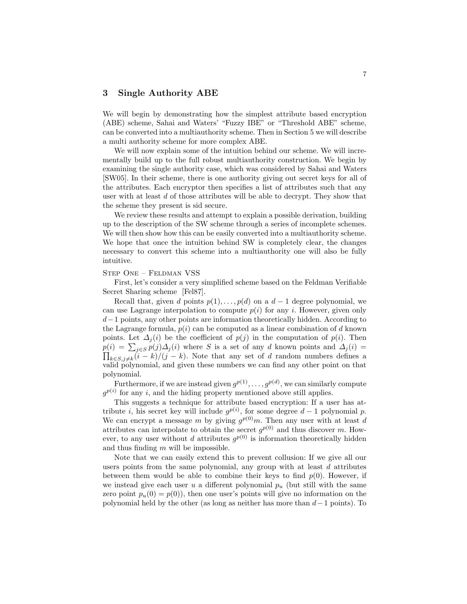# 3 Single Authority ABE

We will begin by demonstrating how the simplest attribute based encryption (ABE) scheme, Sahai and Waters' "Fuzzy IBE" or "Threshold ABE" scheme, can be converted into a multiauthority scheme. Then in Section 5 we will describe a multi authority scheme for more complex ABE.

We will now explain some of the intuition behind our scheme. We will incrementally build up to the full robust multiauthority construction. We begin by examining the single authority case, which was considered by Sahai and Waters [SW05]. In their scheme, there is one authority giving out secret keys for all of the attributes. Each encryptor then specifies a list of attributes such that any user with at least d of those attributes will be able to decrypt. They show that the scheme they present is sid secure.

We review these results and attempt to explain a possible derivation, building up to the description of the SW scheme through a series of incomplete schemes. We will then show how this can be easily converted into a multiauthority scheme. We hope that once the intuition behind SW is completely clear, the changes necessary to convert this scheme into a multiauthority one will also be fully intuitive.

#### Step One – Feldman VSS

First, let's consider a very simplified scheme based on the Feldman Verifiable Secret Sharing scheme [Fel87].

Recall that, given d points  $p(1), \ldots, p(d)$  on a  $d-1$  degree polynomial, we can use Lagrange interpolation to compute  $p(i)$  for any i. However, given only d−1 points, any other points are information theoretically hidden. According to the Lagrange formula,  $p(i)$  can be computed as a linear combination of d known points. Let  $\Delta_j(i)$  be the coefficient of  $p(j)$  in the computation of  $p(i)$ . Then  $p(i) = \sum_{j \in S} p(j) \Delta_j(i)$  where S is a set of any d known points and  $\Delta_j(i) =$  $\prod_{k \in S, j \neq k} (i - k)/(j - k)$ . Note that any set of d random numbers defines a valid polynomial, and given these numbers we can find any other point on that polynomial.

Furthermore, if we are instead given  $g^{p(1)}, \ldots, g^{p(d)}$ , we can similarly compute  $g^{p(i)}$  for any i, and the hiding property mentioned above still applies.

This suggests a technique for attribute based encryption: If a user has attribute *i*, his secret key will include  $g^{p(i)}$ , for some degree  $d-1$  polynomial p. We can encrypt a message m by giving  $g^{p(0)}$ m. Then any user with at least d attributes can interpolate to obtain the secret  $g^{p(0)}$  and thus discover m. However, to any user without d attributes  $g^{p(0)}$  is information theoretically hidden and thus finding  $m$  will be impossible.

Note that we can easily extend this to prevent collusion: If we give all our users points from the same polynomial, any group with at least  $d$  attributes between them would be able to combine their keys to find  $p(0)$ . However, if we instead give each user u a different polynomial  $p_u$  (but still with the same zero point  $p_u(0) = p(0)$ , then one user's points will give no information on the polynomial held by the other (as long as neither has more than  $d-1$  points). To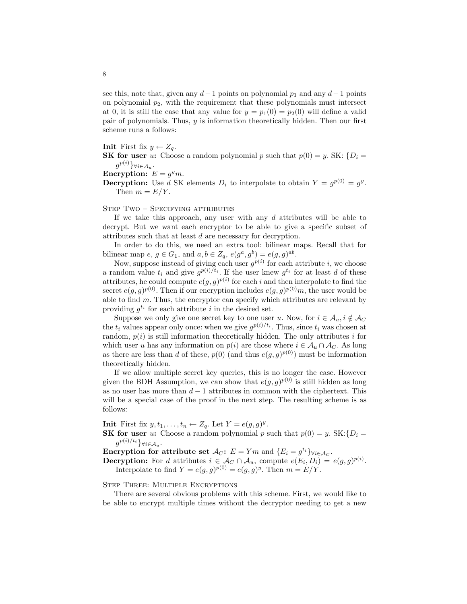see this, note that, given any  $d-1$  points on polynomial  $p_1$  and any  $d-1$  points on polynomial  $p_2$ , with the requirement that these polynomials must intersect at 0, it is still the case that any value for  $y = p_1(0) = p_2(0)$  will define a valid pair of polynomials. Thus,  $y$  is information theoretically hidden. Then our first scheme runs a follows:

**Init** First fix  $y \leftarrow Z_q$ .

**SK** for user u: Choose a random polynomial p such that  $p(0) = y$ . SK:  $\{D_i =$  $g^{p(i)}\}_{\forall i \in \mathcal{A}_u}$ .

$$
Encryption: E = g^ym.
$$

**Decryption:** Use d SK elements  $D_i$  to interpolate to obtain  $Y = g^{p(0)} = g^y$ . Then  $m = E/Y$ .

#### STEP TWO - SPECIFYING ATTRIBUTES

If we take this approach, any user with any  $d$  attributes will be able to decrypt. But we want each encryptor to be able to give a specific subset of attributes such that at least d are necessary for decryption.

In order to do this, we need an extra tool: bilinear maps. Recall that for bilinear map  $e, g \in G_1$ , and  $a, b \in Z_q$ ,  $e(g^a, g^b) = e(g, g)^{ab}$ .

Now, suppose instead of giving each user  $g^{p(i)}$  for each attribute i, we choose a random value  $t_i$  and give  $g^{p(i)/t_i}$ . If the user knew  $g^{t_i}$  for at least d of these attributes, he could compute  $e(g, g)^{p(i)}$  for each i and then interpolate to find the secret  $e(g, g)^{p(0)}$ . Then if our encryption includes  $e(g, g)^{p(0)}m$ , the user would be able to find  $m$ . Thus, the encryptor can specify which attributes are relevant by providing  $g^{t_i}$  for each attribute i in the desired set.

Suppose we only give one secret key to one user u. Now, for  $i \in \mathcal{A}_u, i \notin \mathcal{A}_C$ the  $t_i$  values appear only once: when we give  $g^{p(i)/t_i}$ . Thus, since  $t_i$  was chosen at random,  $p(i)$  is still information theoretically hidden. The only attributes i for which user u has any information on  $p(i)$  are those where  $i \in A_u \cap A_c$ . As long as there are less than d of these,  $p(0)$  (and thus  $e(g, g)^{p(0)}$ ) must be information theoretically hidden.

If we allow multiple secret key queries, this is no longer the case. However given the BDH Assumption, we can show that  $e(g, g)^{p(0)}$  is still hidden as long as no user has more than  $d-1$  attributes in common with the ciphertext. This will be a special case of the proof in the next step. The resulting scheme is as follows:

**Init** First fix  $y, t_1, \ldots, t_n \leftarrow Z_q$ . Let  $Y = e(g, g)^y$ .

**SK** for user u: Choose a random polynomial p such that  $p(0) = y$ . SK: { $D<sub>i</sub> =$  $g^{p(i)/t_i}\}_{\forall i \in \mathcal{A}_u}.$ 

Encryption for attribute set  $\mathcal{A}_C$ :  $E = Ym$  and  $\{E_i = g^{t_i}\}_{\forall i \in \mathcal{A}_C}$ .

**Decryption:** For d attributes  $i \in A_C \cap A_u$ , compute  $e(E_i, D_i) = e(g, g)^{p(i)}$ . Interpolate to find  $Y = e(g, g)^{p(0)} = e(g, g)^y$ . Then  $m = E/Y$ .

#### Step Three: Multiple Encryptions

There are several obvious problems with this scheme. First, we would like to be able to encrypt multiple times without the decryptor needing to get a new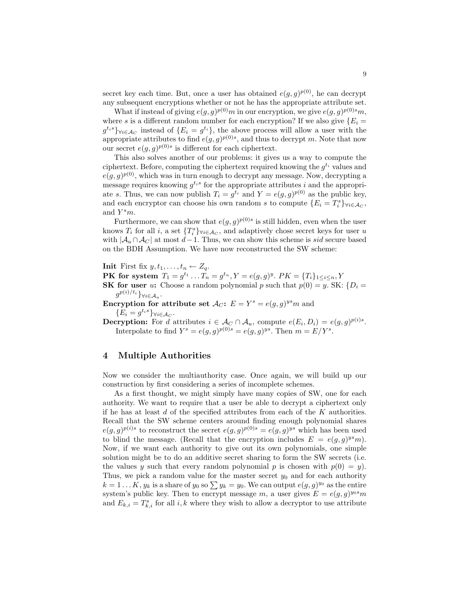secret key each time. But, once a user has obtained  $e(g, g)^{p(0)}$ , he can decrypt any subsequent encryptions whether or not he has the appropriate attribute set.

What if instead of giving  $e(g, g)^{p(0)}m$  in our encryption, we give  $e(g, g)^{p(0)s}m$ , where s is a different random number for each encryption? If we also give  ${E_i} =$  $g^{t_i s}$ <sub> $\forall i \in \mathcal{A}_C$ </sub> instead of  $\{E_i = g^{t_i}\}\$ , the above process will allow a user with the appropriate attributes to find  $e(g, g)^{p(0)s}$ , and thus to decrypt m. Note that now our secret  $e(g, g)^{p(0)s}$  is different for each ciphertext.

This also solves another of our problems: it gives us a way to compute the ciphertext. Before, computing the ciphertext required knowing the  $g^{t_i}$  values and  $e(g, g)^{p(0)}$ , which was in turn enough to decrypt any message. Now, decrypting a message requires knowing  $g^{t_i s}$  for the appropriate attributes i and the appropriate s. Thus, we can now publish  $T_i = g^{t_i}$  and  $Y = e(g, g)^{p(0)}$  as the public key, and each encryptor can choose his own random s to compute  $\{E_i = T_i^s\}_{\forall i \in \mathcal{A}_C}$ , and  $Y^{s}m$ .

Furthermore, we can show that  $e(g, g)^{p(0)s}$  is still hidden, even when the user knows  $T_i$  for all  $i$ , a set  $\{T_i^s\}_{\forall i \in \mathcal{A}_C}$ , and adaptively chose secret keys for user u with  $|\mathcal{A}_u \cap \mathcal{A}_C|$  at most  $d-1$ . Thus, we can show this scheme is sid secure based on the BDH Assumption. We have now reconstructed the SW scheme:

**Init** First fix  $y, t_1, \ldots, t_n \leftarrow Z_q$ .

**PK** for system  $T_1 = g^{t_1} \dots T_n = g^{t_n}, Y = e(g, g)^y$ .  $PK = \{T_i\}_{1 \le i \le n}, Y$ **SK** for user u: Choose a random polynomial p such that  $p(0) = y$ . SK:  $\{D_i =$  $g^{p(i)/t_i}$   $\}$  $\forall i \in \mathcal{A}_u$ .

Encryption for attribute set  $\mathcal{A}_C$ :  $E = Y^s = e(g, g)^{ys} m$  and  ${E_i = g^{t_i s}}_{\forall i \in \mathcal{A}_C}.$ 

**Decryption:** For d attributes  $i \in A_C \cap A_u$ , compute  $e(E_i, D_i) = e(g, g)^{p(i)s}$ . Interpolate to find  $Y^s = e(g, g)^{p(0)s} = e(g, g)^{ys}$ . Then  $m = E/Y^s$ .

# 4 Multiple Authorities

Now we consider the multiauthority case. Once again, we will build up our construction by first considering a series of incomplete schemes.

As a first thought, we might simply have many copies of SW, one for each authority. We want to require that a user be able to decrypt a ciphertext only if he has at least  $d$  of the specified attributes from each of the  $K$  authorities. Recall that the SW scheme centers around finding enough polynomial shares  $e(g,g)^{p(i)s}$  to reconstruct the secret  $e(g,g)^{p(0)s} = e(g,g)^{ys}$  which has been used to blind the message. (Recall that the encryption includes  $E = e(g, g)^{ys}m$ ). Now, if we want each authority to give out its own polynomials, one simple solution might be to do an additive secret sharing to form the SW secrets (i.e. the values y such that every random polynomial p is chosen with  $p(0) = y$ . Thus, we pick a random value for the master secret  $y_0$  and for each authority  $k = 1 \dots K$ ,  $y_k$  is a share of  $y_0$  so  $\sum y_k = y_0$ . We can output  $e(g, g)^{y_0}$  as the entire system's public key. Then to encrypt message m, a user gives  $E = e(g, g)^{y_0 s} m$ and  $E_{k,i} = T_{k,i}^s$  for all i, k where they wish to allow a decryptor to use attribute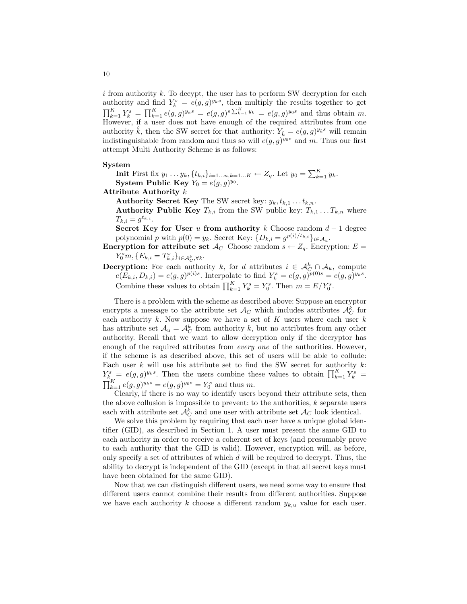$i$  from authority  $k$ . To decypt, the user has to perform SW decryption for each authority and find  $Y_k^s = e(g, g)^{y_k s}$ , then multiply the results together to get  $\prod_{k=1}^K Y_k^s = \prod_{k=1}^K e(g, g)^{y_k s} = e(g, g)^{s \sum_{k=1}^K y_k} = e(g, g)^{y_0 s}$  and thus obtain m. However, if a user does not have enough of the required attributes from one authority  $\hat{k}$ , then the SW secret for that authority:  $Y_{\hat{k}} = e(g, g)^{y_{\hat{k}}s}$  will remain indistinguishable from random and thus so will  $e(g, g)^{y_0 s}$  and m. Thus our first attempt Multi Authority Scheme is as follows:

#### System

**Init** First fix  $y_1 \ldots y_k$ ,  $\{t_{k,i}\}_{i=1...n,k=1...K} \leftarrow Z_q$ . Let  $y_0 = \sum_{k=1}^K y_k$ . **System Public Key**  $Y_0 = e(g, g)^{y_0}$ .

Attribute Authority k

Authority Secret Key The SW secret key:  $y_k, t_{k,1} \ldots t_{k,n}$ .

Authority Public Key  $T_{k,i}$  from the SW public key:  $T_{k,1} \ldots T_{k,n}$  where  $T_{k,i}=g^{t_{k,i}}.$ 

Secret Key for User u from authority k Choose random  $d-1$  degree polynomial p with  $p(0) = y_k$ . Secret Key:  $\{D_{k,i} = g^{p(i)/t_{k,i}}\}_{i \in A_u}$ .

**Encryption for attribute set**  $\mathcal{A}_C$  Choose random  $s \leftarrow Z_q$ . Encryption:  $E =$  $Y_0^s m, \{E_{k,i} = T_{k,i}^s\}_{i \in A_C^k, \forall k}.$ 

**Decryption:** For each authority k, for d attributes  $i \in \mathcal{A}_{C}^{k} \cap \mathcal{A}_{u}$ , compute  $e(E_{k,i}, D_{k,i}) = e(g, g)^{p(i)s}$ . Interpolate to find  $Y_k^s = e(g, g)^{p(0)s} = e(g, g)^{y_k s}$ . Combine these values to obtain  $\prod_{k=1}^{K} Y_k^s = Y_0^s$ . Then  $m = E/Y_0^s$ .

There is a problem with the scheme as described above: Suppose an encryptor encrypts a message to the attribute set  $\mathcal{A}_{C}$  which includes attributes  $\mathcal{A}_{C}^{k}$  for each authority  $k$ . Now suppose we have a set of  $K$  users where each user  $k$ has attribute set  $\mathcal{A}_u = \mathcal{A}_C^k$  from authority k, but no attributes from any other authority. Recall that we want to allow decryption only if the decryptor has enough of the required attributes from *every one* of the authorities. However, if the scheme is as described above, this set of users will be able to collude: Each user  $k$  will use his attribute set to find the SW secret for authority  $k$ :  $Y_{k_{xx}}^s = e(g,g)^{y_ks}$ . Then the users combine these values to obtain  $\prod_{k=1}^K Y_k^s =$  $\prod_{k=1}^{K} e(g, g)^{y_k s} = e(g, g)^{y_0 s} = Y_0^s$  and thus m.

Clearly, if there is no way to identify users beyond their attribute sets, then the above collusion is impossible to prevent: to the authorities,  $k$  separate users each with attribute set  $\mathcal{A}_{C}^{k}$  and one user with attribute set  $\mathcal{A}_{C}$  look identical.

We solve this problem by requiring that each user have a unique global identifier (GID), as described in Section 1. A user must present the same GID to each authority in order to receive a coherent set of keys (and presumably prove to each authority that the GID is valid). However, encryption will, as before, only specify a set of attributes of which  $d$  will be required to decrypt. Thus, the ability to decrypt is independent of the GID (except in that all secret keys must have been obtained for the same GID).

Now that we can distinguish different users, we need some way to ensure that different users cannot combine their results from different authorities. Suppose we have each authority k choose a different random  $y_{k,u}$  value for each user.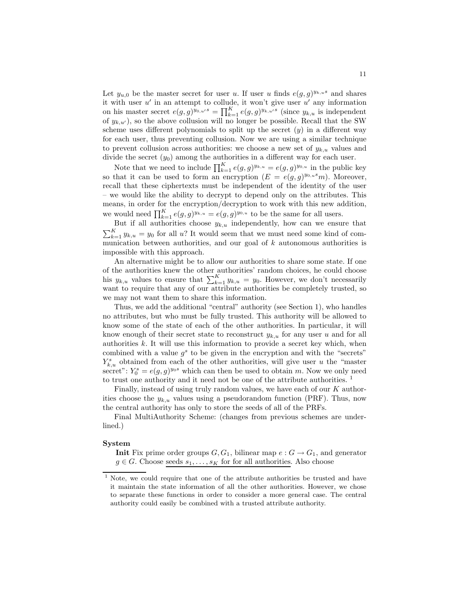Let  $y_{u,0}$  be the master secret for user u. If user u finds  $e(g,g)^{y_{k,u}s}$  and shares it with user  $u'$  in an attempt to collude, it won't give user  $u'$  any information on his master secret  $e(g, g)^{y_{0,u'}s} = \prod_{k=1}^{K} e(g, g)^{y_{k,u'}s}$  (since  $y_{k,u}$  is independent of  $y_{k,u'}$ , so the above collusion will no longer be possible. Recall that the SW scheme uses different polynomials to split up the secret  $(y)$  in a different way for each user, thus preventing collusion. Now we are using a similar technique to prevent collusion across authorities: we choose a new set of  $y_{k,u}$  values and divide the secret  $(y_0)$  among the authorities in a different way for each user.

Note that we need to include  $\prod_{k=1}^{K} e(g, g)^{y_{k,u}} = e(g, g)^{y_{0,u}}$  in the public key so that it can be used to form an encryption  $(E = e(g, g)^{y_0, u}m)$ . Moreover, recall that these ciphertexts must be independent of the identity of the user – we would like the ability to decrypt to depend only on the attributes. This means, in order for the encryption/decryption to work with this new addition, we would need  $\prod_{k=1}^K e(g, g)^{y_{k,u}} = e(g, g)^{y_{0,u}}$  to be the same for all users.

But if all authorities choose  $y_{k,u}$  independently, how can we ensure that  $\sum_{k=1}^{K} y_{k,u} = y_0$  for all u? It would seem that we must need some kind of communication between authorities, and our goal of  $k$  autonomous authorities is impossible with this approach.

An alternative might be to allow our authorities to share some state. If one of the authorities knew the other authorities' random choices, he could choose his  $y_{k,u}$  values to ensure that  $\sum_{k=1}^{K} y_{k,u} = y_0$ . However, we don't necessarily want to require that any of our attribute authorities be completely trusted, so we may not want them to share this information.

Thus, we add the additional "central" authority (see Section 1), who handles no attributes, but who must be fully trusted. This authority will be allowed to know some of the state of each of the other authorities. In particular, it will know enough of their secret state to reconstruct  $y_{k,u}$  for any user u and for all authorities  $k$ . It will use this information to provide a secret key which, when combined with a value  $g^s$  to be given in the encryption and with the "secrets"  $Y_{k,u}^s$  obtained from each of the other authorities, will give user u the "master" secret":  $Y_0^s = e(g, g)^{y_0 s}$  which can then be used to obtain m. Now we only need to trust one authority and it need not be one of the attribute authorities. <sup>1</sup>

Finally, instead of using truly random values, we have each of our K authorities choose the  $y_{k,u}$  values using a pseudorandom function (PRF). Thus, now the central authority has only to store the seeds of all of the PRFs.

Final MultiAuthority Scheme: (changes from previous schemes are underlined.)

#### System

**Init** Fix prime order groups  $G, G_1$ , bilinear map  $e : G \to G_1$ , and generator  $g \in G$ . Choose seeds  $s_1, \ldots, s_K$  for for all authorities. Also choose

<sup>&</sup>lt;sup>1</sup> Note, we could require that one of the attribute authorities be trusted and have it maintain the state information of all the other authorities. However, we chose to separate these functions in order to consider a more general case. The central authority could easily be combined with a trusted attribute authority.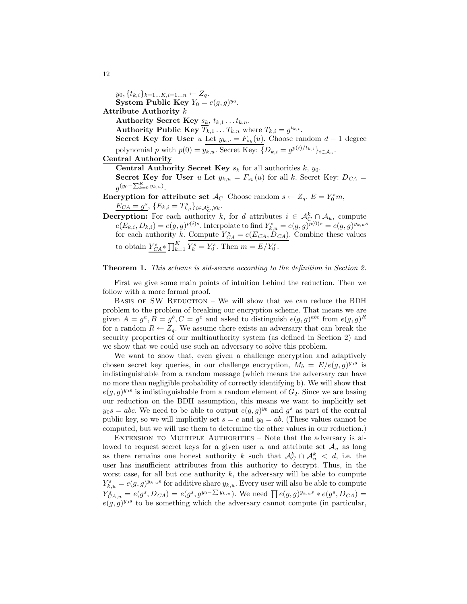$y_0, \{t_{k,i}\}_{k=1...K, i=1...n} \leftarrow Z_q.$ 

System Public Key  $Y_0 = e(g, g)^{y_0}$ .

Attribute Authority k

Authority Secret Key  $s_k$ ,  $t_{k,1}$ ... $t_{k,n}$ .

Authority Public Key  $\overline{T}_{k,1} \ldots T_{k,n}$  where  $T_{k,i} = g^{t_{k,i}}$ .

**Secret Key for User** u Let  $y_{k,u} = F_{s_k}(u)$ . Choose random  $d-1$  degree

polynomial p with 
$$
p(0) = y_{k,u}
$$
. Secret Key:  $\{D_{k,i} = g^{p(i)/t_{k,i}}\}_{i \in \mathcal{A}_u}$ .

Central Authority

**Central Authority Secret Key**  $s_k$  for all authorities  $k$ ,  $y_0$ .

**Secret Key for User** u Let  $y_{k,u} = F_{s_k}(u)$  for all k. Secret Key:  $D_{CA}$  =  $g^{(y_0 - \sum_{k=0}^K y_{k,u})}$ .

**Encryption for attribute set**  $\mathcal{A}_{C}$  Choose random  $s \leftarrow Z_{q}$ .  $E = Y_{0}^{s}m$ ,  $E_{CA} = g^s, \, \{E_{k,i} = T_{k,i}^s\}_{i \in A_C^k, \forall k}.$ 

**Decryption:** For each authority k, for d attributes  $i \in \mathcal{A}_{C}^{k} \cap \mathcal{A}_{u}$ , compute  $e(E_{k,i}, D_{k,i}) = e(g, g)^{p(i)s}$ . Interpolate to find  $Y_{k,u}^s = e(g, g)^{p(0)s} = e(g, g)^{y_{k,u}s}$ for each authority k. Compute  $Y_{CA}^s = e(E_{CA}, \overline{D}_{CA})$ . Combine these values to obtain  $Y_{CA}^s \prod_{k=1}^K Y_k^s = Y_0^s$ . Then  $m = E/Y_0^s$ .

### Theorem 1. This scheme is sid-secure according to the definition in Section 2.

First we give some main points of intuition behind the reduction. Then we follow with a more formal proof.

BASIS OF SW REDUCTION – We will show that we can reduce the BDH problem to the problem of breaking our encryption scheme. That means we are given  $A = g^a, B = g^b, C = g^c$  and asked to distinguish  $e(g, g)^{abc}$  from  $e(g, g)^R$ for a random  $R \leftarrow Z_q$ . We assume there exists an adversary that can break the security properties of our multiauthority system (as defined in Section 2) and we show that we could use such an adversary to solve this problem.

We want to show that, even given a challenge encryption and adaptively chosen secret key queries, in our challenge encryption,  $M_b = E/e(g, g)^{y_0 s}$  is indistinguishable from a random message (which means the adversary can have no more than negligible probability of correctly identifying b). We will show that  $e(g, g)^{y_0 s}$  is indistinguishable from a random element of  $G_2$ . Since we are basing our reduction on the BDH assumption, this means we want to implicitly set  $y_0s = abc$ . We need to be able to output  $e(g, g)^{y_0}$  and  $g^s$  as part of the central public key, so we will implicitly set  $s = c$  and  $y_0 = ab$ . (These values cannot be computed, but we will use them to determine the other values in our reduction.)

Extension to Multiple Authorities – Note that the adversary is allowed to request secret keys for a given user u and attribute set  $\mathcal{A}_u$  as long as there remains one honest authority k such that  $\mathcal{A}_{\mathcal{C}}^k \cap \mathcal{A}_{\mathcal{u}}^k < d$ , i.e. the user has insufficient attributes from this authority to decrypt. Thus, in the worst case, for all but one authority  $k$ , the adversary will be able to compute  $Y_{k,u}^s = e(g, g)^{y_{k,u}s}$  for additive share  $y_{k,u}$ . Every user will also be able to compute  $Y_{CA,u}^s = e(g^s, D_{CA}) = e(g^s, g^{y_0 - \sum y_{k,u}})$ . We need  $\prod e(g, g)^{y_{k,u}s} * e(g^s, D_{CA}) =$  $e(g, g)^{y_0 s}$  to be something which the adversary cannot compute (in particular,

12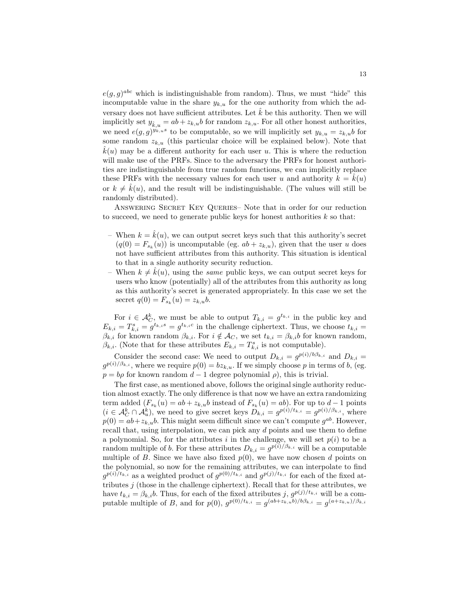$e(g, g)^{abc}$  which is indistinguishable from random). Thus, we must "hide" this incomputable value in the share  $y_{k,u}$  for the one authority from which the adversary does not have sufficient attributes. Let  $\hat{k}$  be this authority. Then we will implicitly set  $y_{\hat{k},u} = ab + z_{k,u}b$  for random  $z_{k,u}$ . For all other honest authorities, we need  $e(g, g)^{y_{k,u}}$  to be computable, so we will implicitly set  $y_{k,u} = z_{k,u}b$  for some random  $z_{k,u}$  (this particular choice will be explained below). Note that  $\hat{k}(u)$  may be a different authority for each user u. This is where the reduction will make use of the PRFs. Since to the adversary the PRFs for honest authorities are indistinguishable from true random functions, we can implicitly replace these PRFs with the necessary values for each user u and authority  $k = k(u)$ or  $k \neq \hat{k}(u)$ , and the result will be indistinguishable. (The values will still be randomly distributed).

Answering Secret Key Queries– Note that in order for our reduction to succeed, we need to generate public keys for honest authorities  $k$  so that:

- When  $k = \hat{k}(u)$ , we can output secret keys such that this authority's secret  $(q(0) = F_{s_k}(u))$  is uncomputable (eg.  $ab + z_{k,u}$ ), given that the user u does not have sufficient attributes from this authority. This situation is identical to that in a single authority security reduction.
- When  $k \neq \hat{k}(u)$ , using the *same* public keys, we can output secret keys for users who know (potentially) all of the attributes from this authority as long as this authority's secret is generated appropriately. In this case we set the secret  $q(0) = F_{s_k}(u) = z_{k,u}b$ .

For  $i \in \mathcal{A}_{C}^{k}$ , we must be able to output  $T_{k,i} = g^{t_{k,i}}$  in the public key and  $E_{k,i} = T_{k,i}^s = g^{t_{k,i}s} = g^{t_{k,i}c}$  in the challenge ciphertext. Thus, we choose  $t_{k,i} =$  $\beta_{k,i}$  for known random  $\beta_{k,i}$ . For  $i \notin \mathcal{A}_C$ , we set  $t_{k,i} = \beta_{k,i}$  for known random,  $\beta_{k,i}$ . (Note that for these attributes  $E_{k,i} = T_{k,i}^s$  is not computable).

Consider the second case: We need to output  $D_{k,i} = g^{p(i)/b\beta_{k,i}}$  and  $D_{k,i} =$  $g^{p(i)/\beta_{k,i}}$ , where we require  $p(0) = bz_{k,u}$ . If we simply choose p in terms of b, (eg.  $p = b\rho$  for known random  $d - 1$  degree polynomial  $\rho$ ), this is trivial.

The first case, as mentioned above, follows the original single authority reduction almost exactly. The only difference is that now we have an extra randomizing term added  $(F_{s_k}(u) = ab + z_{k,u}b$  instead of  $F_{s_k}(u) = ab)$ . For up to  $d-1$  points  $(i \in \mathcal{A}_{C}^{k} \cap \mathcal{A}_{u}^{k}),$  we need to give secret keys  $D_{k,i} = g^{p(i)/t_{k,i}} = g^{p(i)/\beta_{k,i}},$  where  $p(0) = ab + z_{k,u}b$ . This might seem difficult since we can't compute  $g^{ab}$ . However, recall that, using interpolation, we can pick any d points and use them to define a polynomial. So, for the attributes i in the challenge, we will set  $p(i)$  to be a random multiple of b. For these attributes  $D_{k,i} = g^{p(i)/\beta_{k,i}}$  will be a computable multiple of B. Since we have also fixed  $p(0)$ , we have now chosen d points on the polynomial, so now for the remaining attributes, we can interpolate to find  $g^{p(i)/t_{k,i}}$  as a weighted product of  $g^{p(0)/t_{k,i}}$  and  $g^{p(j)/t_{k,i}}$  for each of the fixed attributes  $j$  (those in the challenge ciphertext). Recall that for these attributes, we have  $t_{k,i} = \beta_{k,i} b$ . Thus, for each of the fixed attributes j,  $g^{p(j)/t_{k,i}}$  will be a computable multiple of B, and for  $p(0)$ ,  $g^{p(0)/t_{k,i}} = g^{(ab+z_{k,u}b)/b\beta_{k,i}} = g^{(a+z_{k,u})/\beta_{k,i}}$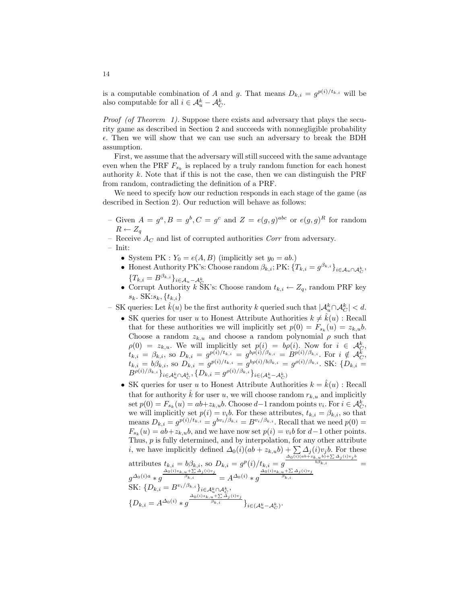is a computable combination of A and g. That means  $D_{k,i} = g^{p(i)/t_{k,i}}$  will be also computable for all  $i \in \mathcal{A}_{u}^{k} - \mathcal{A}_{C}^{k}$ .

Proof (of Theorem 1). Suppose there exists and adversary that plays the security game as described in Section 2 and succeeds with nonnegligible probability  $\epsilon$ . Then we will show that we can use such an adversary to break the BDH assumption.

First, we assume that the adversary will still succeed with the same advantage even when the PRF  $F_{s_k}$  is replaced by a truly random function for each honest authority  $k$ . Note that if this is not the case, then we can distinguish the PRF from random, contradicting the definition of a PRF.

We need to specify how our reduction responds in each stage of the game (as described in Section 2). Our reduction will behave as follows:

- Given  $A = g^a, B = g^b, C = g^c$  and  $Z = e(g, g)^{abc}$  or  $e(g, g)^R$  for random  $R \leftarrow Z_q$
- Receive  $A_C$  and list of corrupted authorities Corr from adversary. – Init:
	- System PK :  $Y_0 = e(A, B)$  (implicitly set  $y_0 = ab$ .)
	- Honest Authority PK's: Choose random  $\beta_{k,i}$ ; PK:  $\{T_{k,i} = g^{\beta_{k,i}}\}_{i \in A_u \cap A_C^k}$ ,  ${T_{k,i} = B^{\beta_{k,i}}}_{i \in \mathcal{A}_u - \mathcal{A}_C^k}$  • Corrupt Authority k SK's: Choose random  $t_{k,i} \leftarrow Z_q$ , random PRF key
	- $s_k$ . SK: $s_k$ ,  $\{t_{k,i}\}$
- $-$  SK queries: Let  $\hat{k}(u)$  be the first authority k queried such that  $|\mathcal{A}_u^k \cap \mathcal{A}_C^k| < d$ .
	- SK queries for user u to Honest Attribute Authorities  $k \neq \hat{k}(u)$ : Recall that for these authorities we will implicitly set  $p(0) = F_{s_k}(u) = z_{k,u}b$ . Choose a random  $z_{k,u}$  and choose a random polynomial  $\rho$  such that  $\rho(0) = z_{k,u}.$  We will implicitly set  $p(i) = b\rho(i)$ . Now for  $i \in \mathcal{A}_{\mathcal{C}}^k$ ,  $t_{k,i} = \beta_{k,i}$ , so  $D_{k,i} = g^{p(i)/t_{k,i}} = g^{b\rho(i)/\beta_{k,i}} = B^{p(i)/\beta_{k,i}}$ . For  $i \notin \mathcal{A}_{C}^{k}$ ,  $t_{k,i} = b\beta_{k,i}$ , so  $D_{k,i} = g^{p(i)/t_{k,i}} = g^{b\rho(i)/b\beta_{k,i}} = g^{\rho(i)/\beta_{k,i}}$ . SK:  $\{D_{k,i} =$  $\{B^{\rho(i)/\beta_{k,i}}\}_{i\in\mathcal{A}_u^k\cap\mathcal{A}_C^k}, \{D_{k,i}=g^{\rho(i)/\beta_{k,i}}\}_{i\in(\mathcal{A}_u^k-\mathcal{A}_C^k)}$
	- SK queries for user u to Honest Attribute Authorities  $k = \hat{k}(u)$ : Recall that for authority  $\hat{k}$  for user u, we will choose random  $r_{k,u}$  and implicitly set  $p(0) = F_{s_k}(u) = ab + z_{k,u}b$ . Choose  $d-1$  random points  $v_i$ . For  $i \in \mathcal{A}_{C}^k$ , we will implicitly set  $p(i) = v_i b$ . For these attributes,  $t_{k,i} = \beta_{k,i}$ , so that means  $D_{k,i} = g^{p(i)/t_{k,i}} = g^{bv_i/\beta_{k,i}} = B^{v_i/\beta_{k,i}}$ . Recall that we need  $p(0) =$  $F_{s_k}(u) = ab + z_{k,u}b$ , and we have now set  $p(i) = v_i b$  for  $d-1$  other points. Thus,  $p$  is fully determined, and by interpolation, for any other attribute *i*, we have implicitly defined  $\Delta_0(i)(ab + z_{k,u}b) + \sum \Delta_j(i)v_j b$ . For these attributes  $t_{k,i} = b\beta_{k,i}$ , so  $D_{k,i} = g^p(i)/t_{k,i} = g^{\frac{\Delta_0(i)(ab+z_{k,u}b)+\sum_i\Delta_j(i)v_jb}{b\beta_{k,i}}}$  $\Delta_0(i)z_{k,u}+\sum \Delta_j(i)v_j$   $\Delta_0(i)z_{k,u}+\sum \Delta_j(i)v_j$

$$
g^{\Delta_0(i)a} * g^{\frac{\Delta_0(i)z_{k,u} + \sum \Delta_j(i)v_j}{\beta_{k,i}}} = A^{\Delta_0(i)} * g^{\frac{\Delta_0(i)z_{k,u} + \sum \Delta_j(i)v_j}{\beta_{k,i}}}
$$
  
\nSK:  ${D_{k,i} = B^{v_i/\beta_{k,i}}}_{i \in A_u^k \cap A_C^k}$ ,  
\n ${D_{k,i} = A^{\Delta_0(i)} * g^{\frac{\Delta_0(i)z_{k,u} + \sum \Delta_j(i)v_j}{\beta_{k,i}}}_{i \in (A_u^k - A_C^k)}$ .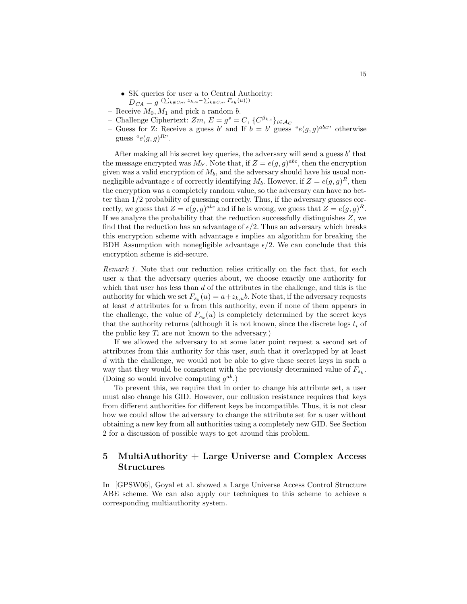- SK queries for user u to Central Authority:
- $D_{\textit{CA}} = g\;^{(\sum_{k \notin \textit{Corr}} z_{k,u} \sum_{k \in \textit{Corr}} F_{s_k}(u)))}$ – Receive  $M_0, M_1$  and pick a random b.
- Challenge Ciphertext:  $Zm, E = g^s = C, \{C^{\beta_{k,i}}\}_{i \in \mathcal{A}_C}$
- Guess for Z: Receive a guess b' and If  $b = b'$  guess " $e(g, g)^{abc}$ " otherwise guess " $e(g, g)^{R}$ ".

After making all his secret key queries, the adversary will send a guess  $b'$  that the message encrypted was  $M_{b'}$ . Note that, if  $Z = e(g, g)^{abc}$ , then the encryption given was a valid encryption of  $M_b$ , and the adversary should have his usual nonnegligible advantage  $\epsilon$  of correctly identifying  $M_b$ . However, if  $Z = e(g, g)^R$ , then the encryption was a completely random value, so the adversary can have no better than 1/2 probability of guessing correctly. Thus, if the adversary guesses correctly, we guess that  $Z = e(g, g)^{abc}$  and if he is wrong, we guess that  $Z = e(g, g)^R$ . If we analyze the probability that the reduction successfully distinguishes  $Z$ , we find that the reduction has an advantage of  $\epsilon/2$ . Thus an adversary which breaks this encryption scheme with advantage  $\epsilon$  implies an algorithm for breaking the BDH Assumption with nonegligible advantage  $\epsilon/2$ . We can conclude that this encryption scheme is sid-secure.

Remark 1. Note that our reduction relies critically on the fact that, for each user  $u$  that the adversary queries about, we choose exactly one authority for which that user has less than  $d$  of the attributes in the challenge, and this is the authority for which we set  $F_{s_k}(u) = a + z_{k,u}b$ . Note that, if the adversary requests at least d attributes for u from this authority, even if none of them appears in the challenge, the value of  $F_{s_k}(u)$  is completely determined by the secret keys that the authority returns (although it is not known, since the discrete logs  $t_i$  of the public key  $T_i$  are not known to the adversary.)

If we allowed the adversary to at some later point request a second set of attributes from this authority for this user, such that it overlapped by at least d with the challenge, we would not be able to give these secret keys in such a way that they would be consistent with the previously determined value of  $F_{s_k}$ . (Doing so would involve computing  $g^{ab}$ .)

To prevent this, we require that in order to change his attribute set, a user must also change his GID. However, our collusion resistance requires that keys from different authorities for different keys be incompatible. Thus, it is not clear how we could allow the adversary to change the attribute set for a user without obtaining a new key from all authorities using a completely new GID. See Section 2 for a discussion of possible ways to get around this problem.

# 5 MultiAuthority + Large Universe and Complex Access Structures

In [GPSW06], Goyal et al. showed a Large Universe Access Control Structure ABE scheme. We can also apply our techniques to this scheme to achieve a corresponding multiauthority system.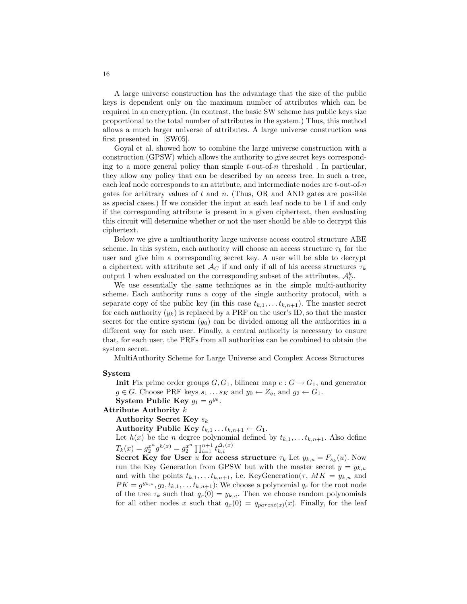A large universe construction has the advantage that the size of the public keys is dependent only on the maximum number of attributes which can be required in an encryption. (In contrast, the basic SW scheme has public keys size proportional to the total number of attributes in the system.) Thus, this method allows a much larger universe of attributes. A large universe construction was first presented in [SW05].

Goyal et al. showed how to combine the large universe construction with a construction (GPSW) which allows the authority to give secret keys corresponding to a more general policy than simple  $t$ -out-of-n threshold. In particular, they allow any policy that can be described by an access tree. In such a tree, each leaf node corresponds to an attribute, and intermediate nodes are  $t$ -out-of-n gates for arbitrary values of  $t$  and  $n$ . (Thus, OR and AND gates are possible as special cases.) If we consider the input at each leaf node to be 1 if and only if the corresponding attribute is present in a given ciphertext, then evaluating this circuit will determine whether or not the user should be able to decrypt this ciphertext.

Below we give a multiauthority large universe access control structure ABE scheme. In this system, each authority will choose an access structure  $\tau_k$  for the user and give him a corresponding secret key. A user will be able to decrypt a ciphertext with attribute set  $\mathcal{A}_C$  if and only if all of his access structures  $\tau_k$ output 1 when evaluated on the corresponding subset of the attributes,  $\mathcal{A}_{C}^{k}$ .

We use essentially the same techniques as in the simple multi-authority scheme. Each authority runs a copy of the single authority protocol, with a separate copy of the public key (in this case  $t_{k,1}, \ldots, t_{k,n+1}$ ). The master secret for each authority  $(y_k)$  is replaced by a PRF on the user's ID, so that the master secret for the entire system  $(y_0)$  can be divided among all the authorities in a different way for each user. Finally, a central authority is necessary to ensure that, for each user, the PRFs from all authorities can be combined to obtain the system secret.

MultiAuthority Scheme for Large Universe and Complex Access Structures

#### System

**Init** Fix prime order groups  $G, G_1$ , bilinear map  $e : G \to G_1$ , and generator  $g \in G$ . Choose PRF keys  $s_1 \ldots s_K$  and  $y_0 \leftarrow Z_q$ , and  $g_2 \leftarrow G_1$ .

System Public Key  $g_1 = g^{y_0}$ .

Attribute Authority k

Authority Secret Key  $s_k$ 

Authority Public Key  $t_{k,1} \ldots t_{k,n+1} \leftarrow G_1$ .

Let  $h(x)$  be the *n* degree polynomial defined by  $t_{k,1}, \ldots, t_{k,n+1}$ . Also define  $T_k(x) = g_2^{x^n} g^{h(x)} = g_2^{x^n} \prod_{i=1}^{n+1} t_{k,i}^{\Delta_i(x)}$ 

Secret Key for User *u* for access structure  $\tau_k$  Let  $y_{k,u} = F_{s_k}(u)$ . Now run the Key Generation from GPSW but with the master secret  $y = y_{k,u}$ and with the points  $t_{k,1}, \ldots t_{k,n+1}$ , i.e. KeyGeneration( $\tau$ ,  $MK = y_{k,u}$  and  $PK = g^{y_{k,u}}, g_2, t_{k,1}, \ldots, t_{k,n+1}$ : We choose a polynomial  $q_r$  for the root node of the tree  $\tau_k$  such that  $q_r(0) = y_{k,u}$ . Then we choose random polynomials for all other nodes x such that  $q_x(0) = q_{parent(x)}(x)$ . Finally, for the leaf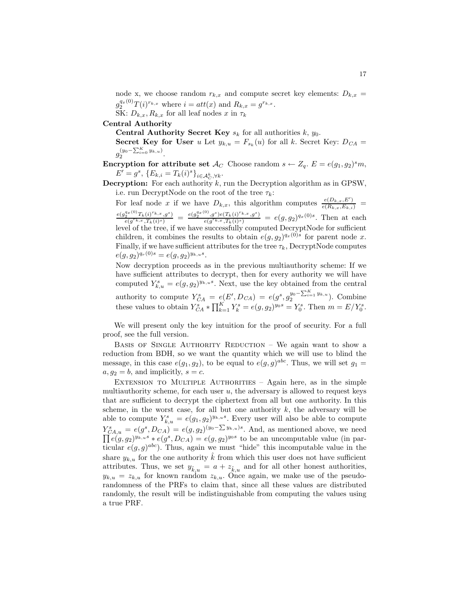node x, we choose random  $r_{k,x}$  and compute secret key elements:  $D_{k,x}$  =  $g_2^{q_x(0)}T(i)^{r_{k,x}}$  where  $i = att(x)$  and  $R_{k,x} = g^{r_{k,x}}$ . SK:  $D_{k,x}, R_{k,x}$  for all leaf nodes x in  $\tau_k$ 

Central Authority

**Central Authority Secret Key**  $s_k$  for all authorities  $k$ ,  $y_0$ .

**Secret Key for User** u Let  $y_{k,u} = F_{s_k}(u)$  for all k. Secret Key:  $D_{CA}$  =  $g_2^{(y_0-\sum_{i=0}^K y_{k,u})}$ .

**Encryption for attribute set**  $\mathcal{A}_C$  Choose random  $s \leftarrow Z_q$ .  $E = e(g_1, g_2)^s m$ ,  $E' = g^s, \{E_{k,i} = T_k(i)^s\}_{i \in \mathcal{A}_{C}^k, \forall k}.$ 

**Decryption:** For each authority  $k$ , run the Decryption algorithm as in GPSW, i.e. run DecryptNode on the root of the tree  $\tau_k$ :

For leaf node x if we have  $D_{k,x}$ , this algorithm computes  $\frac{e(D_{k,x},E')}{e(R_{k,x},E_{k,i})}$  =  $e(g_{2}^{qx(0)}T_{k}(i)^{r_{k,x}},g^{s})$  $\frac{\int_{2}^{q_{x}(0)}T_{k}(i)^{r_{k,x}},g^{s})}{e(g^{r_{k,x}},T_{k}(i)^{s})} \ = \ \frac{e(g_{2}^{q_{x}(0)},g^{s})e(T_{k}(i)^{r_{k,x}},g^{s})}{e(g^{r_{k,x}},T_{k}(i)^{s})}$  $\frac{e^{-(g^r k_s x}, g^c)e(T_k(i)^r k_r x}, g^c)}{e(g^{r k_r x}, T_k(i)^s)} = e(g, g_2)^{q_x(0)s}$ . Then at each level of the tree, if we have successfully computed DecryptNode for sufficient children, it combines the results to obtain  $e(g, g_2)^{q_x(0)s}$  for parent node x. Finally, if we have sufficient attributes for the tree  $\tau_k$ , DecryptNode computes  $e(g, g_2)^{q_r(0)s} = e(g, g_2)^{y_{k,u}s}.$ 

Now decryption proceeds as in the previous multiauthority scheme: If we have sufficient attributes to decrypt, then for every authority we will have computed  $Y_{k,u}^s = e(g, g_2)^{y_{k,u}s}$ . Next, use the key obtained from the central authority to compute  $Y_{CA}^s = e(E', D_{CA}) = e(g^s, g_2^{y_0 - \sum_{i=1}^K y_{k,u}})$ . Combine these values to obtain  $Y_{CA}^s * \prod_{k=1}^K Y_k^s = e(g, g_2)^{y_0 s} = Y_0^s$ . Then  $m = E/Y_0^s$ .

We will present only the key intuition for the proof of security. For a full proof, see the full version.

BASIS OF SINGLE AUTHORITY REDUCTION – We again want to show a reduction from BDH, so we want the quantity which we will use to blind the message, in this case  $e(g_1, g_2)$ , to be equal to  $e(g, g)^{abc}$ . Thus, we will set  $g_1 =$  $a, g_2 = b$ , and implicitly,  $s = c$ .

EXTENSION TO MULTIPLE AUTHORITIES  $-$  Again here, as in the simple multiauthority scheme, for each user  $u$ , the adversary is allowed to request keys that are sufficient to decrypt the ciphertext from all but one authority. In this scheme, in the worst case, for all but one authority  $k$ , the adversary will be able to compute  $Y_{k,u}^s = e(g_1, g_2)^{y_{k,u}s}$ . Every user will also be able to compute  $Y_{CA,u}^s = e(g^s, D_{CA}) = e(g, g_2)^{(y_0 - \sum y_{k,u})s}$ . And, as mentioned above, we need  $\prod e(g, g_2)^{y_{k,u}s} * e(g^s, D_{CA}) = e(g, g_2)^{y_0s}$  to be an uncomputable value (in particular  $e(g, g)^{abc}$ ). Thus, again we must "hide" this incomputable value in the share  $y_{k,u}$  for the one authority  $\hat{k}$  from which this user does not have sufficient attributes. Thus, we set  $y_{\hat{k},u} = a + z_{\hat{k},u}$  and for all other honest authorities,  $y_{k,u} = z_{k,u}$  for known random  $z_{k,u}$ . Once again, we make use of the pseudorandomness of the PRFs to claim that, since all these values are distributed randomly, the result will be indistinguishable from computing the values using a true PRF.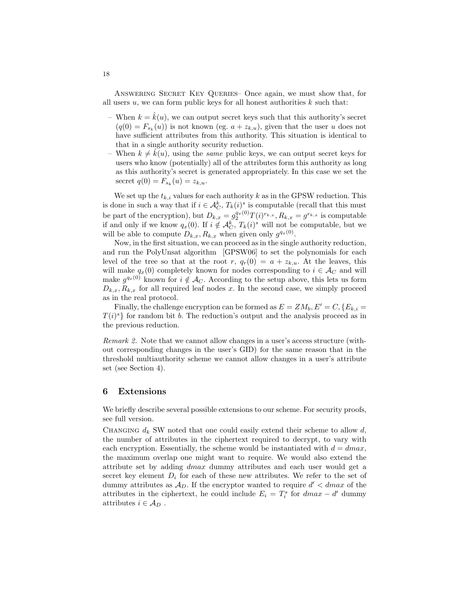Answering Secret Key Queries– Once again, we must show that, for all users  $u$ , we can form public keys for all honest authorities  $k$  such that:

- When  $k = \hat{k}(u)$ , we can output secret keys such that this authority's secret  $(q(0) = F_{s_k}(u))$  is not known (eg.  $a + z_{k,u}$ ), given that the user u does not have sufficient attributes from this authority. This situation is identical to that in a single authority security reduction.
- When  $k \neq \hat{k}(u)$ , using the *same* public keys, we can output secret keys for users who know (potentially) all of the attributes form this authority as long as this authority's secret is generated appropriately. In this case we set the secret  $q(0) = F_{s_k}(u) = z_{k,u}$ .

We set up the  $t_{k,i}$  values for each authority k as in the GPSW reduction. This is done in such a way that if  $i \in \mathcal{A}_{C}^{k}$ ,  $T_{k}(i)$ <sup>s</sup> is computable (recall that this must be part of the encryption), but  $D_{k,x} = g_2^{q_x(0)} T(i)^{r_{k,x}}, R_{k,x} = g^{r_{k,x}}$  is computable if and only if we know  $q_x(0)$ . If  $i \notin \mathcal{A}_{C}^k$ ,  $T_k(i)^s$  will not be computable, but we will be able to compute  $D_{k,x}, R_{k,x}$  when given only  $g^{q_x(0)}$ .

Now, in the first situation, we can proceed as in the single authority reduction, and run the PolyUnsat algorithm [GPSW06] to set the polynomials for each level of the tree so that at the root r,  $q_r(0) = a + z_{k,u}$ . At the leaves, this will make  $q_x(0)$  completely known for nodes corresponding to  $i \in \mathcal{A}_C$  and will make  $g^{q_x(0)}$  known for  $i \notin \mathcal{A}_C$ . According to the setup above, this lets us form  $D_{k,x}, R_{k,x}$  for all required leaf nodes x. In the second case, we simply proceed as in the real protocol.

Finally, the challenge encryption can be formed as  $E = ZM_b, E' = C, \{E_{k,i} =$  $T(i)^s$  for random bit b. The reduction's output and the analysis proceed as in the previous reduction.

Remark 2. Note that we cannot allow changes in a user's access structure (without corresponding changes in the user's GID) for the same reason that in the threshold multiauthority scheme we cannot allow changes in a user's attribute set (see Section 4).

## 6 Extensions

We briefly describe several possible extensions to our scheme. For security proofs, see full version.

CHANGING  $d_k$  SW noted that one could easily extend their scheme to allow  $d$ , the number of attributes in the ciphertext required to decrypt, to vary with each encryption. Essentially, the scheme would be instantiated with  $d = dmax$ , the maximum overlap one might want to require. We would also extend the attribute set by adding dmax dummy attributes and each user would get a secret key element  $D_i$  for each of these new attributes. We refer to the set of dummy attributes as  $A_D$ . If the encryptor wanted to require  $d' < dmax$  of the attributes in the ciphertext, he could include  $E_i = T_i^s$  for  $dmax - d'$  dummy attributes  $i \in A_D$ .

18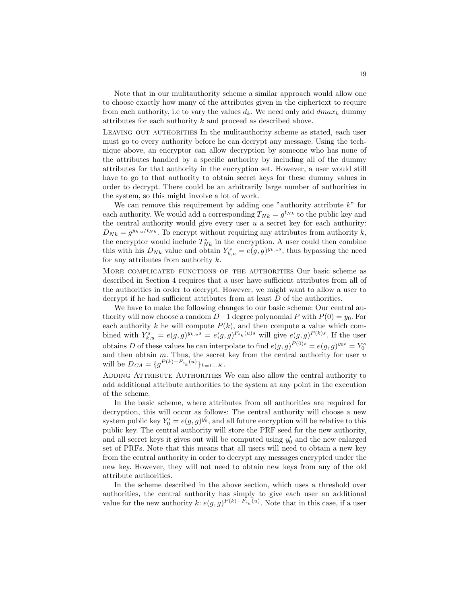Note that in our mulitauthority scheme a similar approach would allow one to choose exactly how many of the attributes given in the ciphertext to require from each authority, i.e to vary the values  $d_k$ . We need only add  $dmax_k$  dummy attributes for each authority k and proceed as described above.

LEAVING OUT AUTHORITIES In the mulitauthority scheme as stated, each user must go to every authority before he can decrypt any message. Using the technique above, an encryptor can allow decryption by someone who has none of the attributes handled by a specific authority by including all of the dummy attributes for that authority in the encryption set. However, a user would still have to go to that authority to obtain secret keys for these dummy values in order to decrypt. There could be an arbitrarily large number of authorities in the system, so this might involve a lot of work.

We can remove this requirement by adding one "authority attribute  $k$ " for each authority. We would add a corresponding  $T_{Nk} = g^{t_{Nk}}$  to the public key and the central authority would give every user  $u$  a secret key for each authority:  $D_{Nk} = g^{y_{k,u}/t_{Nk}}$ . To encrypt without requiring any attributes from authority k, the encryptor would include  $T_{Nk}^s$  in the encryption. A user could then combine this with his  $D_{Nk}$  value and obtain  $Y_{k,u}^s = e(g, g)^{y_{k,u}s}$ , thus bypassing the need for any attributes from authority  $k$ .

More complicated functions of the authorities Our basic scheme as described in Section 4 requires that a user have sufficient attributes from all of the authorities in order to decrypt. However, we might want to allow a user to decrypt if he had sufficient attributes from at least  $D$  of the authorities.

We have to make the following changes to our basic scheme: Our central authority will now choose a random  $D-1$  degree polynomial P with  $P(0) = y_0$ . For each authority k he will compute  $P(k)$ , and then compute a value which combined with  $Y_{k,u}^s = e(g,g)^{y_{k,u}s} = e(g,g)^{F_{s_k}(u)s}$  will give  $e(g,g)^{P(k)s}$ . If the user obtains D of these values he can interpolate to find  $e(g, g)^{P(0)s} = e(g, g)^{y_0s} = Y_0^s$ and then obtain  $m$ . Thus, the secret key from the central authority for user  $u$ will be  $D_{CA} = \{g^{P(k)-F_{s_k}(u)}\}_{k=1...K}$ .

ADDING ATTRIBUTE AUTHORITIES We can also allow the central authority to add additional attribute authorities to the system at any point in the execution of the scheme.

In the basic scheme, where attributes from all authorities are required for decryption, this will occur as follows: The central authority will choose a new system public key  $Y'_0 = e(g, g)^{y'_0}$ , and all future encryption will be relative to this public key. The central authority will store the PRF seed for the new authority, and all secret keys it gives out will be computed using  $y'_0$  and the new enlarged set of PRFs. Note that this means that all users will need to obtain a new key from the central authority in order to decrypt any messages encrypted under the new key. However, they will not need to obtain new keys from any of the old attribute authorities.

In the scheme described in the above section, which uses a threshold over authorities, the central authority has simply to give each user an additional value for the new authority  $k: e(g, g)^{P(k)-F_{s_k}(u)}$ . Note that in this case, if a user